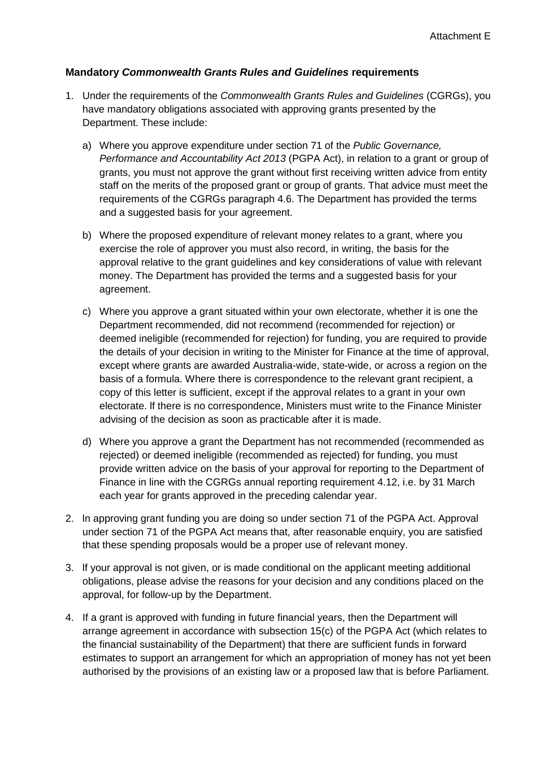## **Mandatory** *Commonwealth Grants Rules and Guidelines* **requirements**

- 1. Under the requirements of the *Commonwealth Grants Rules and Guidelines* (CGRGs), you have mandatory obligations associated with approving grants presented by the Department. These include:
	- a) Where you approve expenditure under section 71 of the *Public Governance, Performance and Accountability Act 2013* (PGPA Act), in relation to a grant or group of grants, you must not approve the grant without first receiving written advice from entity staff on the merits of the proposed grant or group of grants. That advice must meet the requirements of the CGRGs paragraph 4.6. The Department has provided the terms and a suggested basis for your agreement.
	- b) Where the proposed expenditure of relevant money relates to a grant, where you exercise the role of approver you must also record, in writing, the basis for the approval relative to the grant guidelines and key considerations of value with relevant money. The Department has provided the terms and a suggested basis for your agreement.
	- c) Where you approve a grant situated within your own electorate, whether it is one the Department recommended, did not recommend (recommended for rejection) or deemed ineligible (recommended for rejection) for funding, you are required to provide the details of your decision in writing to the Minister for Finance at the time of approval, except where grants are awarded Australia-wide, state-wide, or across a region on the basis of a formula. Where there is correspondence to the relevant grant recipient, a copy of this letter is sufficient, except if the approval relates to a grant in your own electorate. lf there is no correspondence, Ministers must write to the Finance Minister advising of the decision as soon as practicable after it is made.
	- d) Where you approve a grant the Department has not recommended (recommended as rejected) or deemed ineligible (recommended as rejected) for funding, you must provide written advice on the basis of your approval for reporting to the Department of Finance in line with the CGRGs annual reporting requirement 4.12, i.e. by 31 March each year for grants approved in the preceding calendar year.
- 2. ln approving grant funding you are doing so under section 71 of the PGPA Act. Approval under section 71 of the PGPA Act means that, after reasonable enquiry, you are satisfied that these spending proposals would be a proper use of relevant money.
- 3. lf your approval is not given, or is made conditional on the applicant meeting additional obligations, please advise the reasons for your decision and any conditions placed on the approval, for follow-up by the Department.
- 4. If a grant is approved with funding in future financial years, then the Department will arrange agreement in accordance with subsection 15(c) of the PGPA Act (which relates to the financial sustainability of the Department) that there are sufficient funds in forward estimates to support an arrangement for which an appropriation of money has not yet been authorised by the provisions of an existing law or a proposed law that is before Parliament.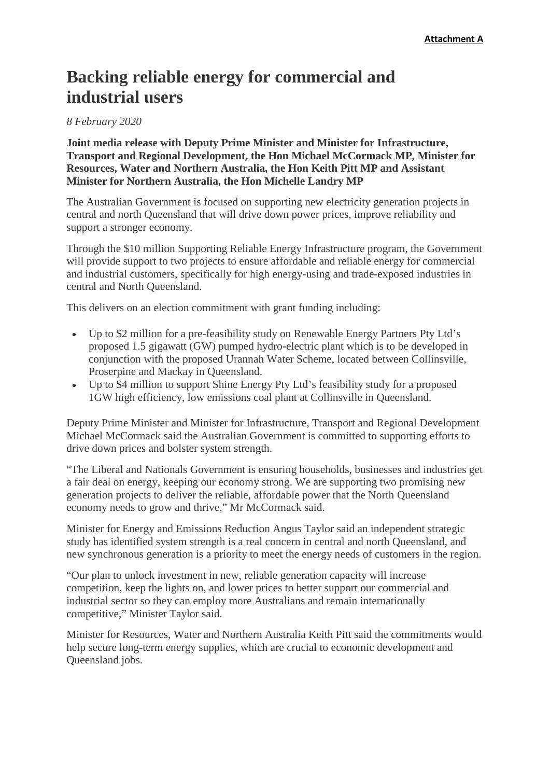## **Backing reliable energy for commercial and industrial users**

## *8 February 2020*

**Joint media release with Deputy Prime Minister and Minister for Infrastructure, Transport and Regional Development, the Hon Michael McCormack MP, Minister for Resources, Water and Northern Australia, the Hon Keith Pitt MP and Assistant Minister for Northern Australia, the Hon Michelle Landry MP**

The Australian Government is focused on supporting new electricity generation projects in central and north Queensland that will drive down power prices, improve reliability and support a stronger economy.

Through the \$10 million Supporting Reliable Energy Infrastructure program, the Government will provide support to two projects to ensure affordable and reliable energy for commercial and industrial customers, specifically for high energy-using and trade-exposed industries in central and North Queensland.

This delivers on an election commitment with grant funding including:

- Up to \$2 million for a pre-feasibility study on Renewable Energy Partners Pty Ltd's proposed 1.5 gigawatt (GW) pumped hydro-electric plant which is to be developed in conjunction with the proposed Urannah Water Scheme, located between Collinsville, Proserpine and Mackay in Queensland.
- Up to \$4 million to support Shine Energy Pty Ltd's feasibility study for a proposed 1GW high efficiency, low emissions coal plant at Collinsville in Queensland.

Deputy Prime Minister and Minister for Infrastructure, Transport and Regional Development Michael McCormack said the Australian Government is committed to supporting efforts to drive down prices and bolster system strength.

"The Liberal and Nationals Government is ensuring households, businesses and industries get a fair deal on energy, keeping our economy strong. We are supporting two promising new generation projects to deliver the reliable, affordable power that the North Queensland economy needs to grow and thrive," Mr McCormack said.

Minister for Energy and Emissions Reduction Angus Taylor said an independent strategic study has identified system strength is a real concern in central and north Queensland, and new synchronous generation is a priority to meet the energy needs of customers in the region.

"Our plan to unlock investment in new, reliable generation capacity will increase competition, keep the lights on, and lower prices to better support our commercial and industrial sector so they can employ more Australians and remain internationally competitive," Minister Taylor said.

Minister for Resources, Water and Northern Australia Keith Pitt said the commitments would help secure long-term energy supplies, which are crucial to economic development and Queensland jobs.